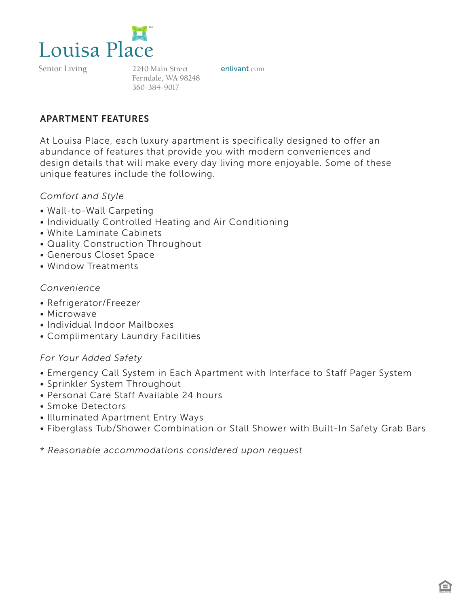

Senior Living

2240 Main Street **enlivant**.com Ferndale, WA 98248 360-384-9017

### APARTMENT FEATURES

At Louisa Place, each luxury apartment is specifically designed to offer an abundance of features that provide you with modern conveniences and design details that will make every day living more enjoyable. Some of these unique features include the following.

### *Comfort and Style*

- Wall-to-Wall Carpeting
- Individually Controlled Heating and Air Conditioning
- White Laminate Cabinets
- Quality Construction Throughout
- Generous Closet Space
- Window Treatments

#### *Convenience*

- Refrigerator/Freezer
- Microwave
- Individual Indoor Mailboxes
- Complimentary Laundry Facilities

#### *For Your Added Safety*

- Emergency Call System in Each Apartment with Interface to Staff Pager System
- Sprinkler System Throughout
- Personal Care Staff Available 24 hours
- Smoke Detectors
- Illuminated Apartment Entry Ways
- Fiberglass Tub/Shower Combination or Stall Shower with Built-In Safety Grab Bars
- \* *Reasonable accommodations considered upon request*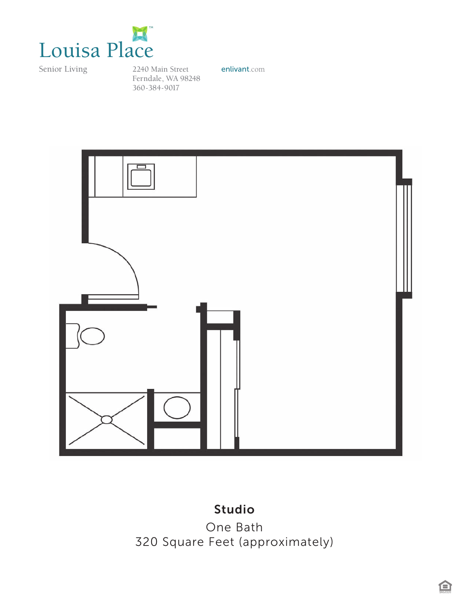

Senior Living

2240 Main Street **enlivant**.com Ferndale, WA 98248 360-384-9017



# Studio

*Studio One Bath* One Bath *320 Square Feet (approximately)* 320 Square Feet (approximately)